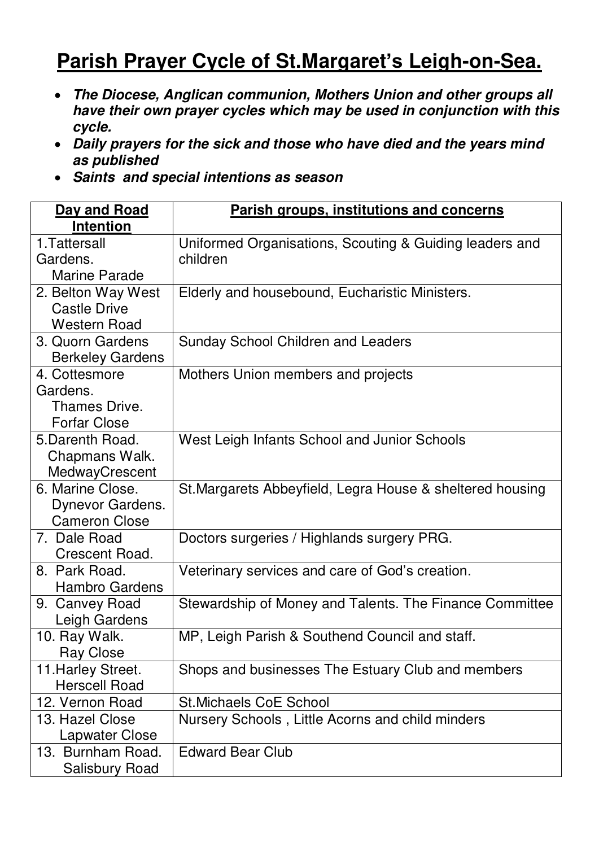## **Parish Prayer Cycle of St.Margaret's Leigh-on-Sea.**

- *The Diocese, Anglican communion, Mothers Union and other groups all have their own prayer cycles which may be used in conjunction with this cycle.*
- *Daily prayers for the sick and those who have died and the years mind as published*
- *Saints and special intentions as season*

| Day and Road            | <b>Parish groups, institutions and concerns</b>           |
|-------------------------|-----------------------------------------------------------|
| <b>Intention</b>        |                                                           |
| 1. Tattersall           | Uniformed Organisations, Scouting & Guiding leaders and   |
| Gardens.                | children                                                  |
| <b>Marine Parade</b>    |                                                           |
| 2. Belton Way West      | Elderly and housebound, Eucharistic Ministers.            |
| <b>Castle Drive</b>     |                                                           |
| <b>Western Road</b>     |                                                           |
| 3. Quorn Gardens        | <b>Sunday School Children and Leaders</b>                 |
| <b>Berkeley Gardens</b> |                                                           |
| 4. Cottesmore           | Mothers Union members and projects                        |
| Gardens.                |                                                           |
| Thames Drive.           |                                                           |
| <b>Forfar Close</b>     |                                                           |
| 5. Darenth Road.        | West Leigh Infants School and Junior Schools              |
| Chapmans Walk.          |                                                           |
| MedwayCrescent          |                                                           |
| 6. Marine Close.        | St. Margarets Abbeyfield, Legra House & sheltered housing |
| Dynevor Gardens.        |                                                           |
| <b>Cameron Close</b>    |                                                           |
| 7. Dale Road            | Doctors surgeries / Highlands surgery PRG.                |
| Crescent Road.          |                                                           |
| 8. Park Road.           | Veterinary services and care of God's creation.           |
| <b>Hambro Gardens</b>   |                                                           |
| 9. Canvey Road          | Stewardship of Money and Talents. The Finance Committee   |
| Leigh Gardens           |                                                           |
| 10. Ray Walk.           | MP, Leigh Parish & Southend Council and staff.            |
| <b>Ray Close</b>        |                                                           |
| 11. Harley Street.      | Shops and businesses The Estuary Club and members         |
| <b>Herscell Road</b>    |                                                           |
| 12. Vernon Road         | <b>St.Michaels CoE School</b>                             |
| 13. Hazel Close         | Nursery Schools, Little Acorns and child minders          |
| <b>Lapwater Close</b>   |                                                           |
| 13. Burnham Road.       | <b>Edward Bear Club</b>                                   |
| <b>Salisbury Road</b>   |                                                           |